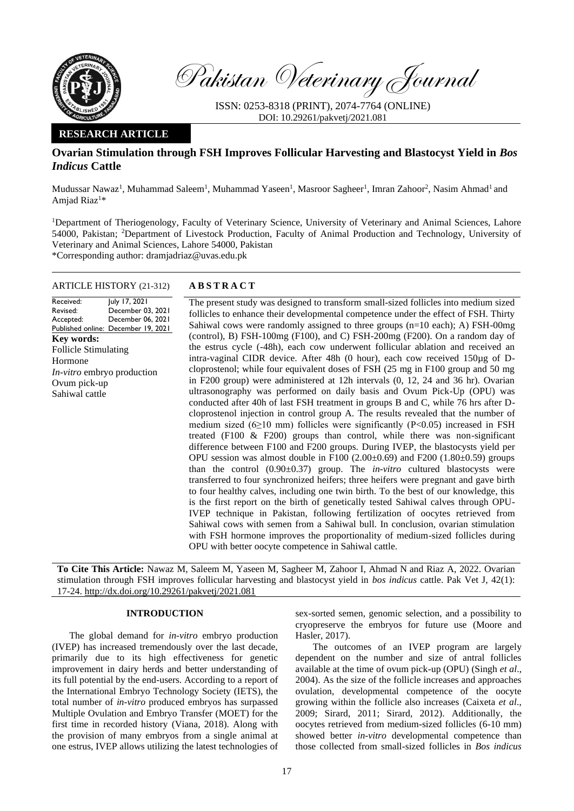

Pakistan Veterinary Journal

ISSN: 0253-8318 (PRINT), 2074-7764 (ONLINE) DOI: 10.29261/pakvetj/2021.081

## **RESEARCH ARTICLE**

# **Ovarian Stimulation through FSH Improves Follicular Harvesting and Blastocyst Yield in** *Bos Indicus* **Cattle**

Mudussar Nawaz<sup>1</sup>, Muhammad Saleem<sup>1</sup>, Muhammad Yaseen<sup>1</sup>, Masroor Sagheer<sup>1</sup>, Imran Zahoor<sup>2</sup>, Nasim Ahmad<sup>1</sup> and Amjad Riaz<sup>1</sup>\*

<sup>1</sup>Department of Theriogenology, Faculty of Veterinary Science, University of Veterinary and Animal Sciences, Lahore 54000, Pakistan; <sup>2</sup>Department of Livestock Production, Faculty of Animal Production and Technology, University of Veterinary and Animal Sciences, Lahore 54000, Pakistan \*Corresponding author: dramjadriaz@uvas.edu.pk

### ARTICLE HISTORY (21-312) **A B S T R A C T**

Received: Revised: Accepted: Published online: December 19, 2021 July 17, 2021 December 03, 2021 December 06, 2021 **Key words:**  Follicle Stimulating Hormone *In-vitro* embryo production Ovum pick-up Sahiwal cattle

The present study was designed to transform small-sized follicles into medium sized follicles to enhance their developmental competence under the effect of FSH. Thirty Sahiwal cows were randomly assigned to three groups (n=10 each); A) FSH-00mg (control), B) FSH-100mg (F100), and C) FSH-200mg (F200). On a random day of the estrus cycle (-48h), each cow underwent follicular ablation and received an intra-vaginal CIDR device. After 48h (0 hour), each cow received 150µg of Dcloprostenol; while four equivalent doses of FSH (25 mg in F100 group and 50 mg in F200 group) were administered at 12h intervals (0, 12, 24 and 36 hr). Ovarian ultrasonography was performed on daily basis and Ovum Pick-Up (OPU) was conducted after 40h of last FSH treatment in groups B and C, while 76 hrs after Dcloprostenol injection in control group A. The results revealed that the number of medium sized ( $6\geq 10$  mm) follicles were significantly (P<0.05) increased in FSH treated (F100 & F200) groups than control, while there was non-significant difference between F100 and F200 groups. During IVEP, the blastocysts yield per OPU session was almost double in  $F100$  (2.00 $\pm$ 0.69) and  $F200$  (1.80 $\pm$ 0.59) groups than the control (0.90±0.37) group. The *in-vitro* cultured blastocysts were transferred to four synchronized heifers; three heifers were pregnant and gave birth to four healthy calves, including one twin birth. To the best of our knowledge, this is the first report on the birth of genetically tested Sahiwal calves through OPU-IVEP technique in Pakistan, following fertilization of oocytes retrieved from Sahiwal cows with semen from a Sahiwal bull. In conclusion, ovarian stimulation with FSH hormone improves the proportionality of medium-sized follicles during OPU with better oocyte competence in Sahiwal cattle.

**To Cite This Article:** Nawaz M, Saleem M, Yaseen M, Sagheer M, Zahoor I, Ahmad N and Riaz A, 2022. Ovarian stimulation through FSH improves follicular harvesting and blastocyst yield in *bos indicus* cattle. Pak Vet J, 42(1): 17-24[. http://dx.doi.org/10.29261/pakvetj/2021.081](http://pvj.com.pk/pdf-files/42_1/17-24.pdf)

### **INTRODUCTION**

The global demand for *in-vitro* embryo production (IVEP) has increased tremendously over the last decade, primarily due to its high effectiveness for genetic improvement in dairy herds and better understanding of its full potential by the end-users. According to a report of the International Embryo Technology Society (IETS), the total number of *in-vitro* produced embryos has surpassed Multiple Ovulation and Embryo Transfer (MOET) for the first time in recorded history [\(Viana, 2018\)](#page-7-0). Along with the provision of many embryos from a single animal at one estrus, IVEP allows utilizing the latest technologies of sex-sorted semen, genomic selection, and a possibility to cryopreserve the embryos for future use [\(Moore and](#page-6-0)  [Hasler, 2017\)](#page-6-0).

The outcomes of an IVEP program are largely dependent on the number and size of antral follicles available at the time of ovum pick-up (OPU) [\(Singh](#page-7-1) *et al*., [2004\)](#page-7-1). As the size of the follicle increases and approaches ovulation, developmental competence of the oocyte growing within the follicle also increases [\(Caixeta](#page-6-1) *et al*., [2009;](#page-6-1) [Sirard, 2011;](#page-7-2) [Sirard, 2012\)](#page-7-3). Additionally, the oocytes retrieved from medium-sized follicles (6-10 mm) showed better *in-vitro* developmental competence than those collected from small-sized follicles in *Bos indicus*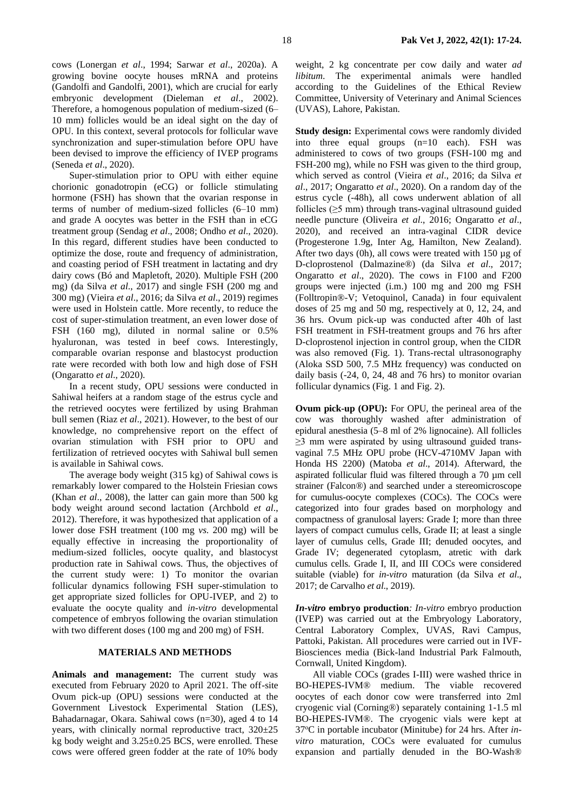cows [\(Lonergan](#page-6-2) *et al*., 1994; Sarwar *et al*[., 2020a\)](#page-7-4). A growing bovine oocyte houses mRNA and proteins [\(Gandolfi and Gandolfi, 2001\)](#page-6-3), which are crucial for early embryonic development [\(Dieleman](#page-6-4) *et al*., 2002). Therefore, a homogenous population of medium-sized (6– 10 mm) follicles would be an ideal sight on the day of OPU. In this context, several protocols for follicular wave synchronization and super-stimulation before OPU have been devised to improve the efficiency of IVEP programs [\(Seneda](#page-7-5) *et al*., 2020).

Super-stimulation prior to OPU with either equine chorionic gonadotropin (eCG) or follicle stimulating hormone (FSH) has shown that the ovarian response in terms of number of medium-sized follicles (6–10 mm) and grade A oocytes was better in the FSH than in eCG treatment group [\(Sendag](#page-7-6) *et al*., 2008; Ondho *et al*., 2020). In this regard, different studies have been conducted to optimize the dose, route and frequency of administration, and coasting period of FSH treatment in lactating and dry dairy cows [\(Bó and Mapletoft, 2020\)](#page-6-5). Multiple FSH (200 mg) [\(da Silva](#page-6-6) *et al*., 2017) and single FSH (200 mg and 300 mg) [\(Vieira](#page-7-7) *et al*., 2016; [da Silva](#page-6-7) *et al*., 2019) regimes were used in Holstein cattle. More recently, to reduce the cost of super-stimulation treatment, an even lower dose of FSH (160 mg), diluted in normal saline or 0.5% hyaluronan, was tested in beef cows. Interestingly, comparable ovarian response and blastocyst production rate were recorded with both low and high dose of FSH [\(Ongaratto](#page-6-8) *et al*., 2020).

In a recent study, OPU sessions were conducted in Sahiwal heifers at a random stage of the estrus cycle and the retrieved oocytes were fertilized by using Brahman bull semen [\(Riaz](#page-6-9) *et al*., 2021). However, to the best of our knowledge, no comprehensive report on the effect of ovarian stimulation with FSH prior to OPU and fertilization of retrieved oocytes with Sahiwal bull semen is available in Sahiwal cows.

The average body weight (315 kg) of Sahiwal cows is remarkably lower compared to the Holstein Friesian cows (Khan *et al*[., 2008\)](#page-6-10), the latter can gain more than 500 kg body weight around second lactation [\(Archbold](#page-6-11) *et al*., [2012\)](#page-6-11). Therefore, it was hypothesized that application of a lower dose FSH treatment (100 mg *vs.* 200 mg) will be equally effective in increasing the proportionality of medium-sized follicles, oocyte quality, and blastocyst production rate in Sahiwal cows. Thus, the objectives of the current study were: 1) To monitor the ovarian follicular dynamics following FSH super-stimulation to get appropriate sized follicles for OPU-IVEP, and 2) to evaluate the oocyte quality and *in-vitro* developmental competence of embryos following the ovarian stimulation with two different doses (100 mg and 200 mg) of FSH.

## **MATERIALS AND METHODS**

**Animals and management:** The current study was executed from February 2020 to April 2021. The off-site Ovum pick-up (OPU) sessions were conducted at the Government Livestock Experimental Station (LES), Bahadarnagar, Okara. Sahiwal cows (n=30), aged 4 to 14 years, with clinically normal reproductive tract,  $320 \pm 25$ kg body weight and 3.25±0.25 BCS, were enrolled. These cows were offered green fodder at the rate of 10% body

weight, 2 kg concentrate per cow daily and water *ad libitum*. The experimental animals were handled according to the Guidelines of the Ethical Review Committee, University of Veterinary and Animal Sciences (UVAS), Lahore, Pakistan.

**Study design:** Experimental cows were randomly divided into three equal groups (n=10 each). FSH was administered to cows of two groups (FSH-100 mg and FSH-200 mg), while no FSH was given to the third group, which served as control (Vieira *et al*[., 2016;](#page-7-7) [da Silva](#page-6-6) *et al*[., 2017;](#page-6-6) [Ongaratto](#page-6-8) *et al*., 2020). On a random day of the estrus cycle (-48h), all cows underwent ablation of all follicles (≥5 mm) through trans-vaginal ultrasound guided needle puncture [\(Oliveira](#page-6-12) *et al*., 2016; [Ongaratto](#page-6-8) *et al*., [2020\)](#page-6-8), and received an intra-vaginal CIDR device (Progesterone 1.9g, Inter Ag, Hamilton, New Zealand). After two days  $(0h)$ , all cows were treated with 150 µg of D-cloprostenol (Dalmazine®) [\(da Silva](#page-6-6) *et al*., 2017; [Ongaratto](#page-6-8) *et al*., 2020). The cows in F100 and F200 groups were injected (i.m.) 100 mg and 200 mg FSH (Folltropin®-V; Vetoquinol, Canada) in four equivalent doses of 25 mg and 50 mg, respectively at 0, 12, 24, and 36 hrs. Ovum pick-up was conducted after 40h of last FSH treatment in FSH-treatment groups and 76 hrs after D-cloprostenol injection in control group, when the CIDR was also removed (Fig. 1). Trans-rectal ultrasonography (Aloka SSD 500, 7.5 MHz frequency) was conducted on daily basis (-24, 0, 24, 48 and 76 hrs) to monitor ovarian follicular dynamics (Fig. 1 and Fig. 2).

**Ovum pick-up (OPU):** For OPU, the perineal area of the cow was thoroughly washed after administration of epidural anesthesia (5–8 ml of 2% lignocaine). All follicles  $\geq$ 3 mm were aspirated by using ultrasound guided transvaginal 7.5 MHz OPU probe (HCV-4710MV Japan with Honda HS 2200) [\(Matoba](#page-7-1) *et al*., 2014). Afterward, the aspirated follicular fluid was filtered through a 70 µm cell strainer (Falcon®) and searched under a stereomicroscope for cumulus-oocyte complexes (COCs). The COCs were categorized into four grades based on morphology and compactness of granulosal layers: Grade I; more than three layers of compact cumulus cells, Grade II; at least a single layer of cumulus cells, Grade III; denuded oocytes, and Grade IV; degenerated cytoplasm, atretic with dark cumulus cells. Grade I, II, and III COCs were considered suitable (viable) for *in-vitro* maturation [\(da Silva](#page-6-6) *et al*., [2017;](#page-6-6) [de Carvalho](#page-6-4) *et al*., 2019).

*In-vitro* **embryo production***: In-vitro* embryo production (IVEP) was carried out at the Embryology Laboratory, Central Laboratory Complex, UVAS, Ravi Campus, Pattoki, Pakistan. All procedures were carried out in IVF-Biosciences media (Bick-land Industrial Park Falmouth, Cornwall, United Kingdom).

All viable COCs (grades I-III) were washed thrice in BO-HEPES-IVM® medium. The viable recovered oocytes of each donor cow were transferred into 2ml cryogenic vial (Corning®) separately containing 1-1.5 ml BO-HEPES-IVM®. The cryogenic vials were kept at 37oC in portable incubator (Minitube) for 24 hrs. After *invitro* maturation, COCs were evaluated for cumulus expansion and partially denuded in the BO-Wash®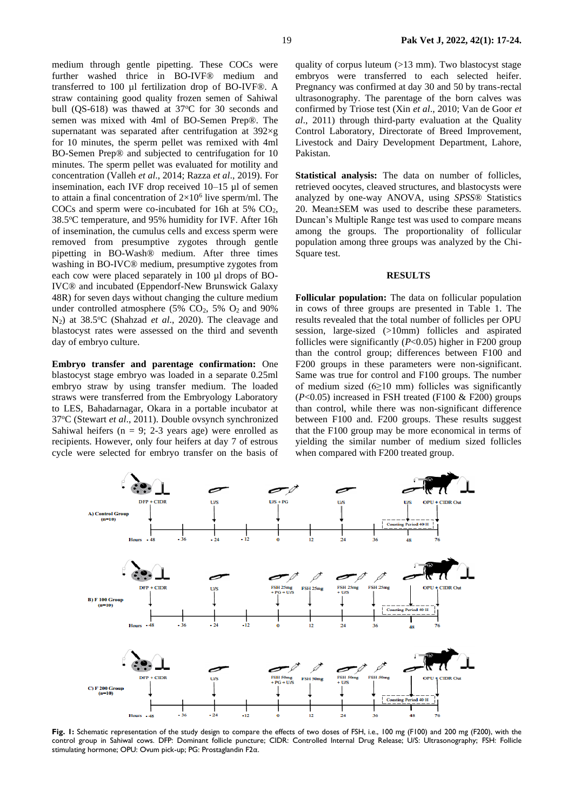medium through gentle pipetting. These COCs were further washed thrice in BO-IVF® medium and transferred to 100 µl fertilization drop of BO-IVF®. A straw containing good quality frozen semen of Sahiwal bull (QS-618) was thawed at  $37^{\circ}$ C for 30 seconds and semen was mixed with 4ml of BO-Semen Prep®. The supernatant was separated after centrifugation at 392×g for 10 minutes, the sperm pellet was remixed with 4ml BO-Semen Prep® and subjected to centrifugation for 10 minutes. The sperm pellet was evaluated for motility and concentration [\(Valleh](#page-7-8) *et al*., 2014; Razza *et al*[., 2019\)](#page-6-13). For insemination, each IVF drop received 10–15 µl of semen to attain a final concentration of  $2\times10^6$  live sperm/ml. The COCs and sperm were co-incubated for 16h at 5%  $CO<sub>2</sub>$ , 38.5°C temperature, and 95% humidity for IVF. After 16h of insemination, the cumulus cells and excess sperm were removed from presumptive zygotes through gentle pipetting in BO-Wash® medium. After three times washing in BO-IVC® medium, presumptive zygotes from each cow were placed separately in 100 µl drops of BO-IVC® and incubated (Eppendorf-New Brunswick Galaxy 48R) for seven days without changing the culture medium under controlled atmosphere (5%  $CO<sub>2</sub>$ , 5%  $O<sub>2</sub>$  and 90% N<sub>2</sub>) at 38.5°C (Shahzad *et al.*, 2020). The cleavage and blastocyst rates were assessed on the third and seventh day of embryo culture.

**Embryo transfer and parentage confirmation:** One blastocyst stage embryo was loaded in a separate 0.25ml embryo straw by using transfer medium. The loaded straws were transferred from the Embryology Laboratory to LES, Bahadarnagar, Okara in a portable incubator at 37<sup>o</sup>C (Stewart *et al*., 2011). Double ovsynch synchronized Sahiwal heifers ( $n = 9$ ; 2-3 years age) were enrolled as recipients. However, only four heifers at day 7 of estrous cycle were selected for embryo transfer on the basis of

quality of corpus luteum  $(>13$  mm). Two blastocyst stage embryos were transferred to each selected heifer. Pregnancy was confirmed at day 30 and 50 by trans-rectal ultrasonography. The parentage of the born calves was confirmed by Triose test (Xin *et al*., 2010; Van de Goor *et al*., 2011) through third-party evaluation at the Quality Control Laboratory, Directorate of Breed Improvement, Livestock and Dairy Development Department, Lahore, Pakistan.

**Statistical analysis:** The data on number of follicles, retrieved oocytes, cleaved structures, and blastocysts were analyzed by one-way ANOVA, using *SPSS*® Statistics 20. Mean±SEM was used to describe these parameters. Duncan's Multiple Range test was used to compare means among the groups. The proportionality of follicular population among three groups was analyzed by the Chi-Square test.

#### **RESULTS**

**Follicular population:** The data on follicular population in cows of three groups are presented in Table 1. The results revealed that the total number of follicles per OPU session, large-sized (>10mm) follicles and aspirated follicles were significantly (*P*<0.05) higher in F200 group than the control group; differences between F100 and F200 groups in these parameters were non-significant. Same was true for control and F100 groups. The number of medium sized  $(6 \ge 10 \text{ mm})$  follicles was significantly  $(P<0.05)$  increased in FSH treated (F100 & F200) groups than control, while there was non-significant difference between F100 and*.* F200 groups. These results suggest that the F100 group may be more economical in terms of yielding the similar number of medium sized follicles when compared with F200 treated group.



**Fig. 1:** Schematic representation of the study design to compare the effects of two doses of FSH, i.e., 100 mg (F100) and 200 mg (F200), with the control group in Sahiwal cows. DFP: Dominant follicle puncture; CIDR: Controlled Internal Drug Release; U/S: Ultrasonography; FSH: Follicle stimulating hormone; OPU: Ovum pick-up; PG: Prostaglandin F2α.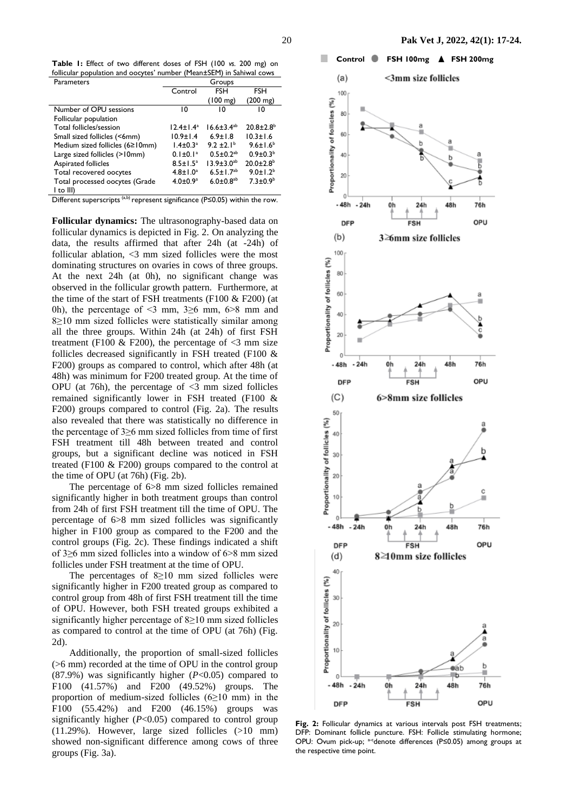**Table 1:** Effect of two different doses of FSH (100 *vs.* 200 mg) on follicular population and oocytes' number (Mean±SEM) in Sahiwal cows

| Parameters                                                                            | Groups           |                             |                             |
|---------------------------------------------------------------------------------------|------------------|-----------------------------|-----------------------------|
|                                                                                       | Control          | FSH                         | <b>FSH</b>                  |
|                                                                                       |                  | $(100 \text{ mg})$          | $(200 \text{ mg})$          |
| Number of OPU sessions                                                                | 10               | 10                          | 10                          |
| Follicular population                                                                 |                  |                             |                             |
| Total follicles/session                                                               | $12.4 \pm 1.4^a$ | $16.6 \pm 3.4^{ab}$         | $20.8 \pm 2.8$ <sup>b</sup> |
| Small sized follicles (<6mm)                                                          | $10.9 \pm 1.4$   | $6.9 \pm 1.8$               | $10.3 \pm 1.6$              |
| Medium sized follicles (6≥10mm)                                                       | $1.4 \pm 0.3^a$  | $9.2 \pm 2.1^{\circ}$       | $9.6 \pm 1.6^b$             |
| Large sized follicles (>10mm)                                                         | $0.1 \pm 0.1^a$  | $0.5 \pm 0.2$ <sup>ab</sup> | $0.9 \pm 0.3^b$             |
| Aspirated follicles                                                                   | $8.5 \pm 1.5^a$  | $13.9 \pm 3.0^{ab}$         | $20.0 \pm 2.8$ <sup>b</sup> |
| Total recovered oocytes                                                               | $4.8 \pm 1.0^a$  | $6.5 \pm 1.7$ <sup>ab</sup> | $9.0 \pm 1.2^b$             |
| Total processed oocytes (Grade                                                        | $4.0 \pm 0.9^a$  | $6.0 \pm 0.8$ <sup>ab</sup> | $7.3 \pm 0.9^b$             |
| $ $ to $ $                                                                            |                  |                             |                             |
| Different superscripts $(a,b)$ represent significance (P $\leq$ 0.05) within the row. |                  |                             |                             |

**Follicular dynamics:** The ultrasonography-based data on follicular dynamics is depicted in Fig. 2. On analyzing the data, the results affirmed that after 24h (at -24h) of follicular ablation, <3 mm sized follicles were the most dominating structures on ovaries in cows of three groups. At the next 24h (at 0h), no significant change was observed in the follicular growth pattern. Furthermore, at the time of the start of FSH treatments (F100  $&$  F200) (at 0h), the percentage of  $\leq$ 3 mm, 3 $\geq$ 6 mm, 6 $\geq$ 8 mm and 8≥10 mm sized follicles were statistically similar among all the three groups. Within 24h (at 24h) of first FSH treatment (F100 & F200), the percentage of  $\leq$ 3 mm size follicles decreased significantly in FSH treated (F100 & F200) groups as compared to control, which after 48h (at 48h) was minimum for F200 treated group. At the time of OPU (at 76h), the percentage of  $\leq$ 3 mm sized follicles remained significantly lower in FSH treated (F100 & F200) groups compared to control (Fig. 2a). The results also revealed that there was statistically no difference in the percentage of 3≥6 mm sized follicles from time of first FSH treatment till 48h between treated and control groups, but a significant decline was noticed in FSH treated (F100 & F200) groups compared to the control at the time of OPU (at 76h) (Fig. 2b).

The percentage of 6>8 mm sized follicles remained significantly higher in both treatment groups than control from 24h of first FSH treatment till the time of OPU. The percentage of 6>8 mm sized follicles was significantly higher in F100 group as compared to the F200 and the control groups (Fig. 2c). These findings indicated a shift of 3≥6 mm sized follicles into a window of 6>8 mm sized follicles under FSH treatment at the time of OPU.

The percentages of 8≥10 mm sized follicles were significantly higher in F200 treated group as compared to control group from 48h of first FSH treatment till the time of OPU. However, both FSH treated groups exhibited a significantly higher percentage of 8≥10 mm sized follicles as compared to control at the time of OPU (at 76h) (Fig. 2d).

Additionally, the proportion of small-sized follicles (>6 mm) recorded at the time of OPU in the control group (87.9%) was significantly higher (*P*<0.05) compared to F100 (41.57%) and F200 (49.52%) groups. The proportion of medium-sized follicles  $(6\ge)10$  mm) in the F100 (55.42%) and F200 (46.15%) groups was significantly higher (*P*<0.05) compared to control group (11.29%). However, large sized follicles (>10 mm) showed non-significant difference among cows of three groups (Fig. 3a).



**Fig. 2:** Follicular dynamics at various intervals post FSH treatments; DFP: Dominant follicle puncture. FSH: Follicle stimulating hormone; OPU: Ovum pick-up; <sup>a-c</sup>denote differences (P≤0.05) among groups at the respective time point.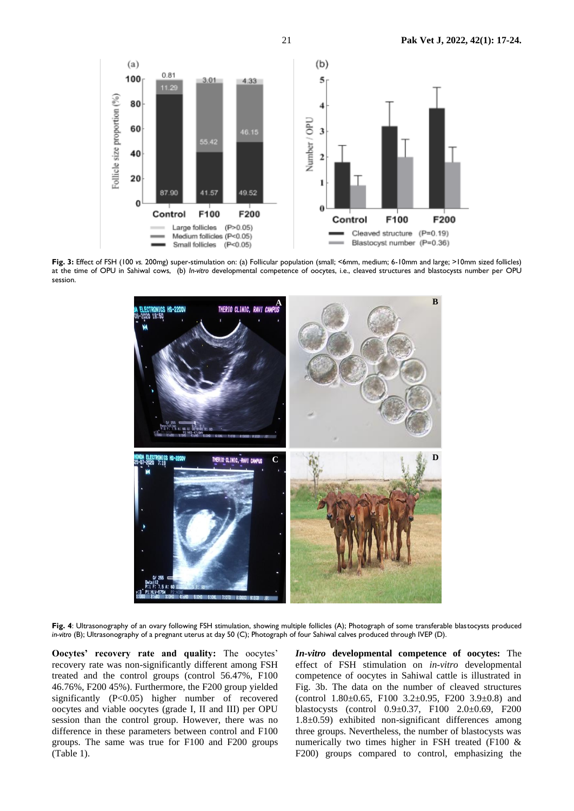

**Fig. 3:** Effect of FSH (100 *vs.* 200mg) super-stimulation on: (a) Follicular population (small; <6mm, medium; 6-10mm and large; >10mm sized follicles) at the time of OPU in Sahiwal cows, (b) *In-vitro* developmental competence of oocytes, i.e., cleaved structures and blastocysts number per OPU session.



**Fig. 4**: Ultrasonography of an ovary following FSH stimulation, showing multiple follicles (A); Photograph of some transferable blastocysts produced *in-vitro* (B); Ultrasonography of a pregnant uterus at day 50 (C); Photograph of four Sahiwal calves produced through IVEP (D).

**Oocytes' recovery rate and quality:** The oocytes' recovery rate was non-significantly different among FSH treated and the control groups (control 56.47%, F100 46.76%, F200 45%). Furthermore, the F200 group yielded significantly (P<0.05) higher number of recovered oocytes and viable oocytes (grade I, II and III) per OPU session than the control group. However, there was no difference in these parameters between control and F100 groups. The same was true for F100 and F200 groups (Table 1).

*In-vitro* **developmental competence of oocytes:** The effect of FSH stimulation on *in-vitro* developmental competence of oocytes in Sahiwal cattle is illustrated in Fig. 3b. The data on the number of cleaved structures (control 1.80 $\pm$ 0.65, F100 3.2 $\pm$ 0.95, F200 3.9 $\pm$ 0.8) and blastocysts (control 0.9±0.37, F100 2.0±0.69, F200 1.8±0.59) exhibited non-significant differences among three groups. Nevertheless, the number of blastocysts was numerically two times higher in FSH treated (F100 & F200) groups compared to control, emphasizing the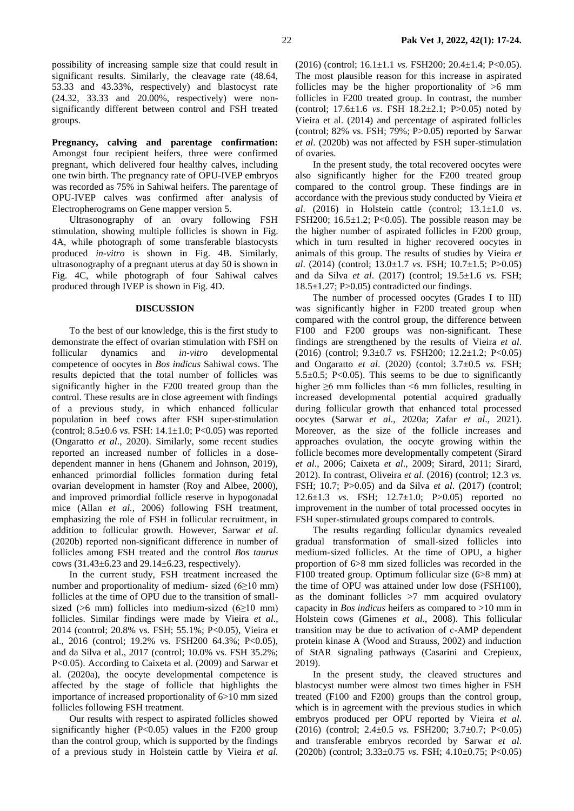possibility of increasing sample size that could result in significant results. Similarly, the cleavage rate (48.64, 53.33 and 43.33%, respectively) and blastocyst rate (24.32, 33.33 and 20.00%, respectively) were nonsignificantly different between control and FSH treated groups.

**Pregnancy, calving and parentage confirmation:**  Amongst four recipient heifers, three were confirmed pregnant, which delivered four healthy calves, including one twin birth. The pregnancy rate of OPU-IVEP embryos was recorded as 75% in Sahiwal heifers. The parentage of OPU-IVEP calves was confirmed after analysis of Electropherograms on Gene mapper version 5.

Ultrasonography of an ovary following FSH stimulation, showing multiple follicles is shown in Fig. 4A, while photograph of some transferable blastocysts produced *in-vitro* is shown in Fig. 4B. Similarly, ultrasonography of a pregnant uterus at day 50 is shown in Fig. 4C, while photograph of four Sahiwal calves produced through IVEP is shown in Fig. 4D.

#### **DISCUSSION**

To the best of our knowledge, this is the first study to demonstrate the effect of ovarian stimulation with FSH on follicular dynamics and *in-vitro* developmental competence of oocytes in *Bos indicus* Sahiwal cows. The results depicted that the total number of follicles was significantly higher in the F200 treated group than the control. These results are in close agreement with findings of a previous study, in which enhanced follicular population in beef cows after FSH super-stimulation (control; 8.5±0.6 *vs*. FSH: 14.1±1.0; P<0.05) was reported [\(Ongaratto](#page-6-8) *et al*., 2020). Similarly, some recent studies reported an increased number of follicles in a dosedependent manner in hens (Ghanem and Johnson, 2019), enhanced primordial follicles formation during fetal ovarian development in hamster (Roy and Albee, 2000), and improved primordial follicle reserve in hypogonadal mice (Allan *et al.*, 2006) following FSH treatment, emphasizing the role of FSH in follicular recruitment, in addition to follicular growth. However, [Sarwar](#page-7-9) *et al*. [\(2020b\)](#page-7-9) reported non-significant difference in number of follicles among FSH treated and the control *Bos taurus*  cows (31.43±6.23 and 29.14±6.23, respectively)*.* 

In the current study, FSH treatment increased the number and proportionality of medium- sized  $(6\ge)10$  mm) follicles at the time of OPU due to the transition of smallsized ( $>6$  mm) follicles into medium-sized ( $6\geq10$  mm) follicles. Similar findings were made by [Vieira](#page-7-10) *et al*., [2014](#page-7-10) (control; 20.8% vs. FSH; 55.1%; P<0.05), [Vieira et](#page-7-7)  [al., 2016](#page-7-7) (control; 19.2% vs. FSH200 64.3%; P<0.05), and [da Silva et al., 2017](#page-6-6) (control; 10.0% vs. FSH 35.2%; P<0.05). According to [Caixeta et al. \(2009\)](#page-6-1) and [Sarwar et](#page-7-4)  [al. \(2020a\)](#page-7-4), the oocyte developmental competence is affected by the stage of follicle that highlights the importance of increased proportionality of 6>10 mm sized follicles following FSH treatment.

Our results with respect to aspirated follicles showed significantly higher  $(P<0.05)$  values in the F200 group than the control group, which is supported by the findings of a previous study in Holstein cattle by Vieira *et al.*

(2016) (control; 16.1±1.1 *vs.* FSH200; 20.4±1.4; P<0.05). The most plausible reason for this increase in aspirated follicles may be the higher proportionality of  $>6$  mm follicles in F200 treated group. In contrast, the number (control; 17.6±1.6 *vs*. FSH 18.2±2.1; P>0.05) noted by [Vieira et al. \(2014\)](#page-7-10) and percentage of aspirated follicles (control;  $82\%$  vs. FSH;  $79\%$ ;  $P > 0.05$ ) reported by Sarwar *et al*[. \(2020b\)](#page-7-9) was not affected by FSH super-stimulation of ovaries.

In the present study, the total recovered oocytes were also significantly higher for the F200 treated group compared to the control group. These findings are in accordance with the previous study conducted by [Vieira](#page-7-7) *et al*[. \(2016\)](#page-7-7) in Holstein cattle (control; 13.1±1.0 *vs*. FSH200; 16.5 $\pm$ 1.2; P<0.05). The possible reason may be the higher number of aspirated follicles in F200 group, which in turn resulted in higher recovered oocytes in animals of this group. The results of studies by [Vieira](#page-7-7) *et al*[. \(2014](#page-7-7)) (control; 13.0±1.7 *vs*. FSH; 10.7±1.5; P>0.05) and [da Silva](#page-6-6) *et al*. (2017) (control; 19.5±1.6 *vs.* FSH;  $18.5\pm1.27$ ; P $>0.05$ ) contradicted our findings.

The number of processed oocytes (Grades I to III) was significantly higher in F200 treated group when compared with the control group, the difference between F100 and F200 groups was non-significant. These findings are strengthened by the results of [Vieira](#page-7-7) *et al*. [\(2016\)](#page-7-7) (control; 9.3±0.7 *vs.* FSH200; 12.2±1.2; P<0.05) and Ongaratto *et al*. (2020) (contol; 3.7±0.5 *vs.* FSH; 5.5 $\pm$ 0.5; P<0.05). This seems to be due to significantly higher  $\geq 6$  mm follicles than  $\leq 6$  mm follicles, resulting in increased developmental potential acquired gradually during follicular growth that enhanced total processed oocytes (Sarwar *et al*[., 2020a;](#page-7-4) Zafar *et al*., 2021). Moreover, as the size of the follicle increases and approaches ovulation, the oocyte growing within the follicle becomes more developmentally competent [\(Sirard](#page-7-11)  *et al*[., 2006;](#page-7-11) [Caixeta](#page-6-1) *et al*., 2009; [Sirard, 2011;](#page-7-2) [Sirard,](#page-7-3)  [2012\)](#page-7-3). In contrast, [Oliveira](#page-6-12) *et al*. (2016) (control; 12.3 *vs.* FSH; 10.7; P>0.05) and [da Silva](#page-6-6) *et al*. (2017) (control; 12.6±1.3 *vs.* FSH; 12.7±1.0; P>0.05) reported no improvement in the number of total processed oocytes in FSH super-stimulated groups compared to controls.

The results regarding follicular dynamics revealed gradual transformation of small-sized follicles into medium-sized follicles. At the time of OPU, a higher proportion of 6>8 mm sized follicles was recorded in the F100 treated group. Optimum follicular size (6>8 mm) at the time of OPU was attained under low dose (FSH100), as the dominant follicles  $>7$  mm acquired ovulatory capacity in *Bos indicus* heifers as compared to >10 mm in Holstein cows (Gimenes *et al*., 2008). This follicular transition may be due to activation of c-AMP dependent protein kinase A (Wood and Strauss, 2002) and induction of StAR signaling pathways (Casarini and Crepieux, 2019).

In the present study, the cleaved structures and blastocyst number were almost two times higher in FSH treated (F100 and F200) groups than the control group, which is in agreement with the previous studies in which embryos produced per OPU reported by [Vieira](#page-7-7) *et al*. [\(2016\)](#page-7-7) (control; 2.4±0.5 *vs.* FSH200; 3.7±0.7; P<0.05) and transferable embryos recorded by [Sarwar](#page-7-9) *et al*. [\(2020b\)](#page-7-9) (control; 3.33±0.75 *vs.* FSH; 4.10±0.75; P<0.05)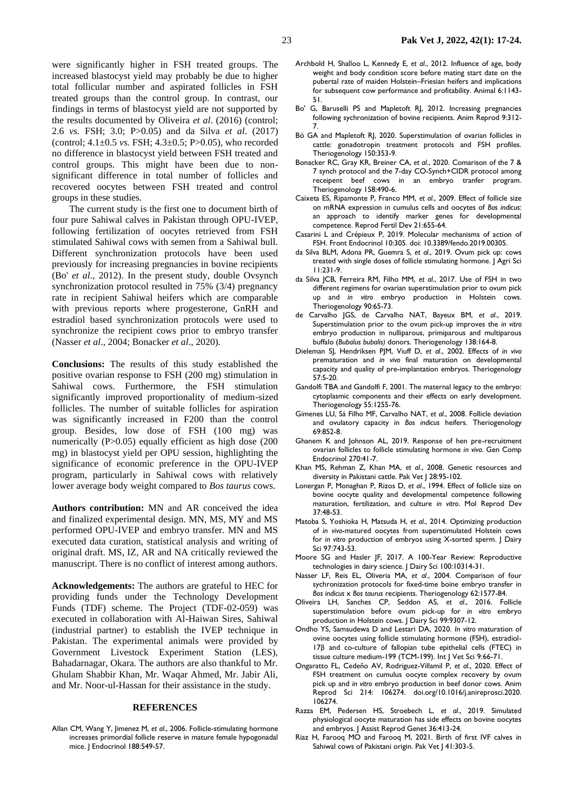were significantly higher in FSH treated groups. The increased blastocyst yield may probably be due to higher total follicular number and aspirated follicles in FSH treated groups than the control group. In contrast, our findings in terms of blastocyst yield are not supported by the results documented by [Oliveira](#page-6-12) *et al*. (2016) (control; 2.6 *vs.* FSH; 3.0; P>0.05) and [da Silva](#page-6-6) *et al*. (2017) (control; 4.1±0.5 *vs.* FSH; 4.3±0.5; P>0.05), who recorded no difference in blastocyst yield between FSH treated and control groups. This might have been due to nonsignificant difference in total number of follicles and recovered oocytes between FSH treated and control groups in these studies.

The current study is the first one to document birth of four pure Sahiwal calves in Pakistan through OPU-IVEP, following fertilization of oocytes retrieved from FSH stimulated Sahiwal cows with semen from a Sahiwal bull. Different synchronization protocols have been used previously for increasing pregnancies in bovine recipients (Bo' *et al*., 2012). In the present study, double Ovsynch synchronization protocol resulted in 75% (3/4) pregnancy rate in recipient Sahiwal heifers which are comparable with previous reports where progesterone, GnRH and estradiol based synchronization protocols were used to synchronize the recipient cows prior to embryo transfer (Nasser *et al*., 2004; Bonacker *et al*., 2020).

**Conclusions:** The results of this study established the positive ovarian response to FSH (200 mg) stimulation in Sahiwal cows. Furthermore, the FSH stimulation significantly improved proportionality of medium-sized follicles. The number of suitable follicles for aspiration was significantly increased in F200 than the control group. Besides, low dose of FSH (100 mg) was numerically (P>0.05) equally efficient as high dose (200) mg) in blastocyst yield per OPU session, highlighting the significance of economic preference in the OPU-IVEP program, particularly in Sahiwal cows with relatively lower average body weight compared to *Bos taurus* cows.

**Authors contribution:** MN and AR conceived the idea and finalized experimental design. MN, MS, MY and MS performed OPU-IVEP and embryo transfer. MN and MS executed data curation, statistical analysis and writing of original draft. MS, IZ, AR and NA critically reviewed the manuscript. There is no conflict of interest among authors.

**Acknowledgements:** The authors are grateful to HEC for providing funds under the Technology Development Funds (TDF) scheme. The Project (TDF-02-059) was executed in collaboration with Al-Haiwan Sires, Sahiwal (industrial partner) to establish the IVEP technique in Pakistan. The experimental animals were provided by Government Livestock Experiment Station (LES), Bahadarnagar, Okara. The authors are also thankful to Mr. Ghulam Shabbir Khan, Mr. Waqar Ahmed, Mr. Jabir Ali, and Mr. Noor-ul-Hassan for their assistance in the study.

#### **REFERENCES**

Allan CM, Wang Y, Jimenez M, *et al*., 2006. Follicle-stimulating hormone increases primordial follicle reserve in mature female hypogonadal mice. J Endocrinol 188:549-57.

- <span id="page-6-11"></span>Archbold H, Shalloo L, Kennedy E, *et al*., 2012. Influence of age, body weight and body condition score before mating start date on the pubertal rate of maiden Holstein–Friesian heifers and implications for subsequent cow performance and profitability. Animal 6:1143- 51.
- Bo' G, Baruselli PS and Mapletoft RJ, 2012. Increasing pregnancies following sychronization of bovine recipients. Anim Reprod 9:312- 7.
- <span id="page-6-5"></span>Bó GA and Mapletoft RJ, 2020. Superstimulation of ovarian follicles in cattle: gonadotropin treatment protocols and FSH profiles. Theriogenology 150:353-9.
- Bonacker RC, Gray KR, Breiner CA, *et al*., 2020. Comarison of the 7 & 7 synch protocol and the 7-day CO-Synch+CIDR protocol among receipent beef cows in an embryo tranfer program. Theriogenology 158:490-6.
- <span id="page-6-1"></span>Caixeta ES, Ripamonte P, Franco MM, *et al*., 2009. Effect of follicle size on mRNA expression in cumulus cells and oocytes of *Bos indicus*: an approach to identify marker genes for developmental competence. Reprod Fertil Dev 21:655-64.
- Casarini L and Crépieux P, 2019. Molecular mechanisms of action of FSH. Front Endocrinol 10:305. doi: 10.3389/fendo.2019.00305.
- <span id="page-6-7"></span>da Silva BLM, Adona PR, Guemra S, *et al*., 2019. Ovum pick up: cows treated with single doses of follicle stimulating hormone. J Agri Sci 11:231-9.
- <span id="page-6-6"></span>da Silva JCB, Ferreira RM, Filho MM, *et al*., 2017. Use of FSH in two different regimens for ovarian superstimulation prior to ovum pick up and *in vitro* embryo production in Holstein cows. Theriogenology 90:65-73.
- de Carvalho JGS, de Carvalho NAT, Bayeux BM, *et al*., 2019. Superstimulation prior to the ovum pick-up improves the *in vitro* embryo production in nulliparous, primiparous and multiparous buffalo (*Bubalus bubalis)* donors. Theriogenology 138:164-8.
- <span id="page-6-4"></span>Dieleman SJ, Hendriksen PJM, Viuff D, *et al*., 2002. Effects of *in vivo* prematuration and *in vivo* final maturation on developmental capacity and quality of pre-implantation embryos. Theriogenology 57:5-20.
- <span id="page-6-3"></span>Gandolfi TBA and Gandolfi F, 2001. The maternal legacy to the embryo: cytoplasmic components and their effects on early development. Theriogenology 55:1255-76.
- Gimenes LU, Sá Filho MF, Carvalho NAT, *et al*., 2008. Follicle deviation and ovulatory capacity in *Bos indicus* heifers. Theriogenology 69:852-8.
- Ghanem K and Johnson AL, 2019. Response of hen pre-recruitment ovarian follicles to follicle stimulating hormone *in vivo*. Gen Comp Endocrinol 270:41-7.
- <span id="page-6-10"></span>Khan MS, Rehman Z, Khan MA, *et al*., 2008. Genetic resources and diversity in Pakistani cattle. Pak Vet J 28:95-102.
- <span id="page-6-2"></span>Lonergan P, Monaghan P, Rizos D, *et al*., 1994. Effect of follicle size on bovine oocyte quality and developmental competence following maturation, fertilization, and culture *in vitro*. Mol Reprod Dev 37:48-53.
- Matoba S, Yoshioka H, Matsuda H, *et al*., 2014. Optimizing production of *in vivo*-matured oocytes from superstimulated Holstein cows for *in vitro* production of embryos using X-sorted sperm. J Dairy Sci 97:743-53.
- <span id="page-6-0"></span>Moore SG and Hasler JF, 2017. A 100-Year Review: Reproductive technologies in dairy science. J Dairy Sci 100:10314-31.
- Nasser LF, Reis EL, Oliveria MA, *et al*., 2004. Comparison of four sychronization protocols for fixed-time boine embryo transfer in *Bos indicus* x *Bos taurus* recipients. Theriogenology 62:1577-84.
- <span id="page-6-12"></span>Oliveira LH, Sanches CP, Seddon AS, *et al*., 2016. Follicle superstimulation before ovum pick-up for *in vitro* embryo production in Holstein cows. J Dairy Sci 99:9307-12.
- Ondho YS, Samsudewa D and Lestari DA, 2020. *In vitro* maturation of ovine oocytes using follicle stimulating hormone (FSH), estradiol-17β and co-culture of fallopian tube epithelial cells (FTEC) in tissue culture medium-199 (TCM-199). Int J Vet Sci 9:66-71.
- <span id="page-6-8"></span>Ongaratto FL, Cedeño AV, Rodriguez-Villamil P, *et al*., 2020. Effect of FSH treatment on cumulus oocyte complex recovery by ovum pick up and *in vitro* embryo production in beef donor cows. Anim Reprod Sci 214: 106274. doi.org/10.1016/j.anireprosci.2020. 106274.
- <span id="page-6-13"></span>Razza EM, Pedersen HS, Stroebech L, *et al*., 2019. Simulated physiological oocyte maturation has side effects on bovine oocytes and embryos. J Assist Reprod Genet 36:413-24.
- <span id="page-6-9"></span>Riaz H, Farooq MO and Farooq M, 2021. Birth of first IVF calves in Sahiwal cows of Pakistani origin. Pak Vet | 41:303-5.